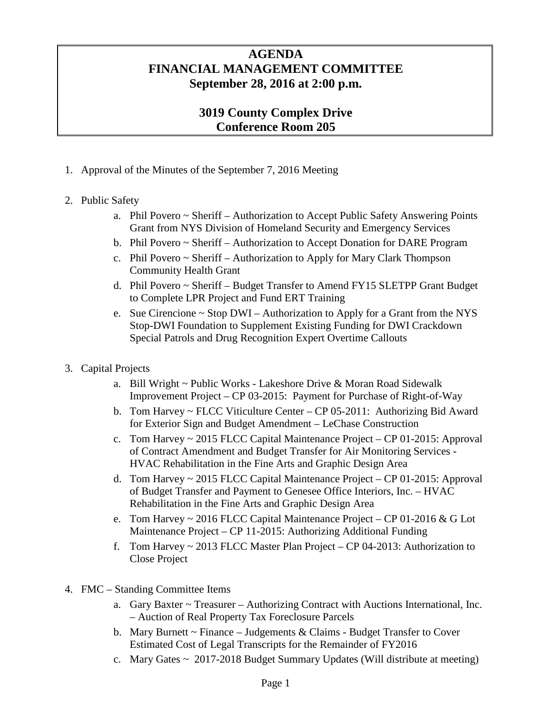## **AGENDA FINANCIAL MANAGEMENT COMMITTEE September 28, 2016 at 2:00 p.m.**

# **3019 County Complex Drive Conference Room 205**

1. Approval of the Minutes of the September 7, 2016 Meeting

### 2. Public Safety

- a. Phil Povero ~ Sheriff Authorization to Accept Public Safety Answering Points Grant from NYS Division of Homeland Security and Emergency Services
- b. Phil Povero ~ Sheriff Authorization to Accept Donation for DARE Program
- c. Phil Povero ~ Sheriff Authorization to Apply for Mary Clark Thompson Community Health Grant
- d. Phil Povero ~ Sheriff Budget Transfer to Amend FY15 SLETPP Grant Budget to Complete LPR Project and Fund ERT Training
- e. Sue Cirencione ~ Stop DWI Authorization to Apply for a Grant from the NYS Stop-DWI Foundation to Supplement Existing Funding for DWI Crackdown Special Patrols and Drug Recognition Expert Overtime Callouts
- 3. Capital Projects
	- a. Bill Wright ~ Public Works Lakeshore Drive & Moran Road Sidewalk Improvement Project – CP 03-2015: Payment for Purchase of Right-of-Way
	- b. Tom Harvey ~ FLCC Viticulture Center CP 05-2011: Authorizing Bid Award for Exterior Sign and Budget Amendment – LeChase Construction
	- c. Tom Harvey ~ 2015 FLCC Capital Maintenance Project CP 01-2015: Approval of Contract Amendment and Budget Transfer for Air Monitoring Services - HVAC Rehabilitation in the Fine Arts and Graphic Design Area
	- d. Tom Harvey ~ 2015 FLCC Capital Maintenance Project CP 01-2015: Approval of Budget Transfer and Payment to Genesee Office Interiors, Inc. – HVAC Rehabilitation in the Fine Arts and Graphic Design Area
	- e. Tom Harvey ~ 2016 FLCC Capital Maintenance Project CP 01-2016 & G Lot Maintenance Project – CP 11-2015: Authorizing Additional Funding
	- f. Tom Harvey ~ 2013 FLCC Master Plan Project CP 04-2013: Authorization to Close Project
- 4. FMC Standing Committee Items
	- a. Gary Baxter ~ Treasurer Authorizing Contract with Auctions International, Inc. – Auction of Real Property Tax Foreclosure Parcels
	- b. Mary Burnett  $\sim$  Finance Judgements & Claims Budget Transfer to Cover Estimated Cost of Legal Transcripts for the Remainder of FY2016
	- c. Mary Gates ~ 2017-2018 Budget Summary Updates (Will distribute at meeting)